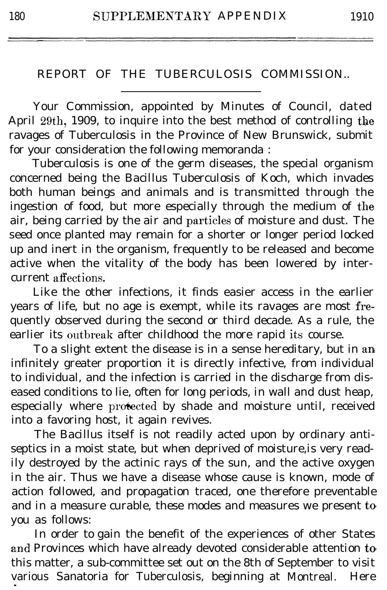#### REPORT OF THE TUBERCULOSIS COMMISSION..

Your Commission, appointed by Minutes of Council, dated April 29th, 1909, to inquire into the best method of controlling the ravages of Tuberculosis in the Province of New Brunswick, submit for your consideration the following memoranda :

Tuberculosis is one of the germ diseases, the special organism concerned being the Bacillus Tuberculosis of Koch, which invades both human beings and animals and is transmitted through the ingestion of food, but more especially through the medium of the air, being carried by the air and particles of moisture and dust. The seed once planted may remain for a shorter or longer period locked up and inert in the organism, frequently to be released and become active when the vitality of the body has been lowered by intercurrent aflections.

Like the other infections, it finds easier access in the earlier years of life, but no age is exempt, while its ravages are most frequently observed during the second or third decade. As a rule, the earlier its outbreak after childhood the more rapid its course.

*To* a slight extent the disease is in a sense hereditary, but in an infinitely greater proportion it is directly infective, from individual to individual, and the infection is carried in the discharge from diseased conditions to lie, often for long periods, in wall and dust heap, especially where protected by shade and moisture until, received into a favoring host, it again revives.

The Bacillus itself is not readily acted upon by ordinary antiseptics in a moist state, but when deprived of moisture,is very readily destroyed by the actinic rays of the sun, and the active oxygen in the air. Thus we have a disease whose cause is known, mode of action followed, and propagation traced, one therefore preventable and in a measure curable, these modes and measures we present to you as follows:

In order to gain the benefit of the experiences of other States and Provinces which have already devoted considerable attention to this matter, a sub-committee set out on the 8th of September to visit various - Sanatoria for Tuberculosis, beginning at Montreal. Here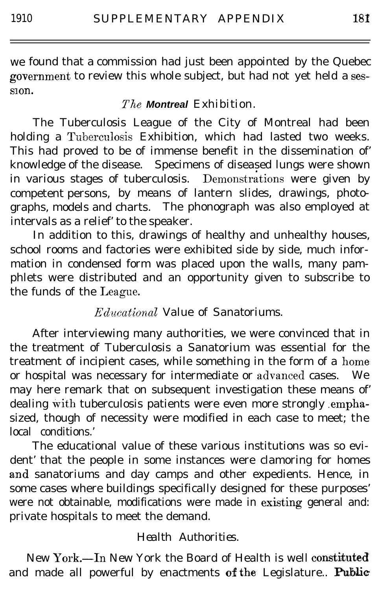*we* found that a commission had just been appointed by the Quebec government to review this whole subject, but had not yet held a sesslon.

### The *Montreal Exhibition.*

The Tuberculosis League of the City of Montreal had been holding a Tuberculosis Exhibition, which had lasted two weeks. This had proved to be of immense benefit in the dissemination of' knowledge of the disease. Specimens of diseased lungs were shown in various stages of tuberculosis. Demonstrations were given by competent persons, by means of lantern slides, drawings, photographs, models and charts. The phonograph was also employed at intervals as a relief' to the speaker.

In addition to this, drawings of healthy and unhealthy houses, school rooms and factories were exhibited side by side, much information in condensed form was placed upon the walls, many pamphlets were distributed and an opportunity given to subscribe to the funds of the League.

# *Echcationa6 Value of Sanatoriums.*

After interviewing many authorities, we were convinced that in the treatment of Tuberculosis a Sanatorium was essential for the treatment of incipient cases, while something in the form of a home, or hospital was necessary for intermediate or advanced cases. We may here remark that on subsequent investigation these means of' dealing with tuberculosis patients were even more strongly .emphasized, though of necessity were modified in each case to meet; the local conditions.'

The educational value of these various institutions was so evident' that the people in some instances were clamoring for homes and sanatoriums and day camps and other expedients. Hence, in some cases where buildings specifically designed for these purposes' were not obtainable, modifications were made in existing general and: private hospitals to meet the demand.

# *Health Authorities.*

New York.-In New York the Board of Health is well constituted and made all powerful by enactments of the Legislature.. Public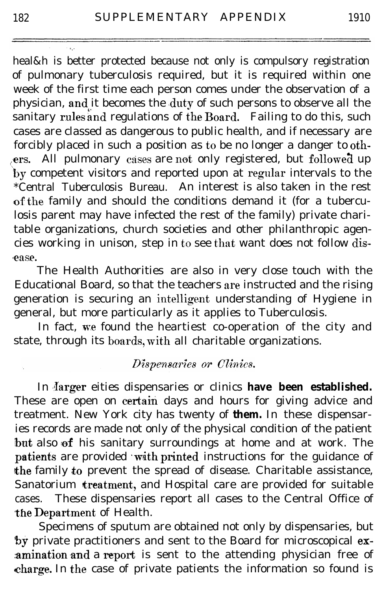heal&h is better protected because not only is compulsory registration of pulmonary tuberculosis required, but it is required within one week of the first time each person comes under the observation of a physician, and it becomes the duty of such persons to observe all the sanitary rules and regulations of the Board. Failing to do this, such cases are classed as dangerous to public health, and if necessary are forcibly placed in such a position as to be no longer a danger to others. All pulmonary cases are not only registered, but followed up by competent visitors and reported upon at regular intervals to the \*Central Tuberculosis Bureau. An interest is also taken in the rest of the family and should the conditions demand it (for a tuberculosis parent may have infected the rest of the family) private charitable organizations, church societies and other philanthropic agencies working in unison, step in to see that want does not follow disease.

The Health Authorities are also in very close touch with the Educational Board, so that the teachers are instructed and the rising generation is securing an intelligent understanding of Hygiene in general, but more particularly as it applies to Tuberculosis. .

In fact, we found the heartiest co-operation of the city and state, through its boards, with all charitable organizations.

### Dispensaries or Clinics.

In larger eities dispensaries or clinics have been established. These are open on certain days and hours for giving advice and treatment. New York city has twenty of **them.** In these dispensaries records are made not only of the physical condition of the patient but also of his sanitary surroundings at home and at work. The patients are provided with printed instructions for the guidance of the family to prevent the spread of disease. Charitable assistance, Sanatorium treatment, and Hospital care are provided for suitable cases. These dispensaries report all cases to the Central Office of the Department of Health.

Specimens of sputum are obtained not only by dispensaries, but by private practitioners and sent to the Board for microscopical examination and a report is sent to the attending physician free of charge. In the case of private patients the information so found is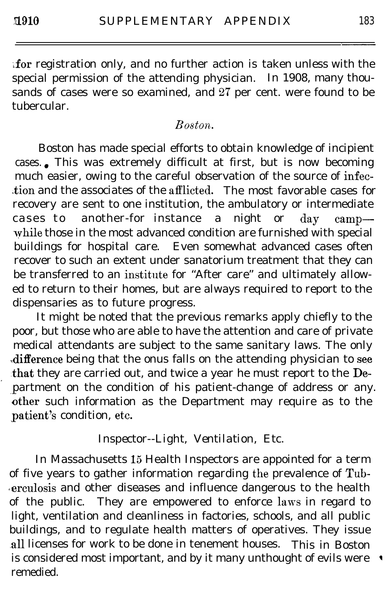I

for registration only, and no further action is taken unless with the special permission of the attending physician. In 1908, many thousands of cases were so examined, and 27 per cent. were found to be tubercular.

### Roston.

Boston has made special efforts to obtain knowledge of incipient cases. This was extremely difficult at first, but is now becoming much easier, owing to the careful observation of the source of infec tion and the associates of the afflicted. The most favorable cases for recovery are sent to one institution, the ambulatory or intermediate cases to another-for instance a night or day campwhile those in the most advanced condition are furnished with special buildings for hospital care. Even somewhat advanced cases often recover to such an extent under sanatorium treatment that they can be transferred to an institute for "After care" and ultimately allowed to return to their homes, but are always required to report to the dispensaries as to future progress.

It might be noted that the previous remarks apply chiefly to the poor, but those who are able to have the attention and care of private medical attendants are subject to the same sanitary laws. The only difference being that the onus falls on the attending physician to see that they are carried out, and twice a year he must report to the Department on the condition of his patient-change of address or any. other such information as the Department may require as to the patient's condition, etc.

#### *Inspector--Light, Ventilation, Etc.*

In Massachusetts 15 Health Inspectors are appointed for a term of five years to gather information regarding the prevalence of  $Tub$ -P.erculosis and other diseases and influence dangerous to the health of the public. They are empowered to enforce laws in regard to light, ventilation and cleanliness in factories, schools, and all public buildings, and to regulate health matters of operatives. They issue .a11 licenses for work to be done in tenement houses. This in Boston is considered most important, and by it many unthought of evils were remedied.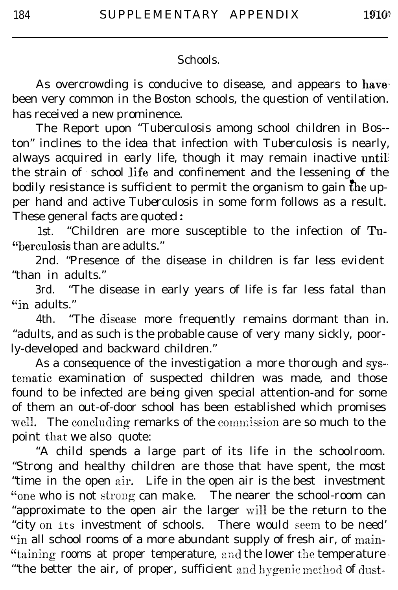#### Schools.

As overcrowding is conducive to disease, and appears to havebeen very common in the Boston schools, the question of ventilation. has received a new prominence.

The Report upon "Tuberculosis among school children in Bos- ton" inclines to the idea that infection with Tuberculosis is nearly, always acquired in early life, though it may remain inactive until: the strain of school life and confinement and the lessening of the bodily resistance is sufficient to permit the organism to gain the upper hand and active Tuberculosis in some form follows as a result. These general facts are quoted :

1st. "Children are more susceptible to the infection of Tu- "berculosis than are adults."

2nd. "Presence of the disease in children is far less evident "than in adults."

3rd. "The disease in early years of life is far less fatal than "in adults."

4th. "The disease more frequently remains dormant than in. "adults, and as such is the probable cause of very many sickly, poorly-developed and backward children."

As a consequence of the investigation a more thorough and sys- tematic examination of suspected children was made, and those found to be infected are being given special attention-and for some of them an out-of-door school has been established which promises well. The concluding remarks of the commission are so much to the point that we also quote:

"A child spends a large part of its life in the schoolroom. "Strong and healthy children are those that have spent, the most "time in the open air. Life in the open air is the best investment "one who is not strong can make. The nearer the school-room can "approximate to the open air the larger will be the return to the "city on its investment of schools. There would seem to be need' "in all school rooms of a more abundant supply of fresh air, of main-"taining rooms at proper temperature, and the lower the temperature  $\cdot$ "the better the air, of proper, sufficient and hygenic method of dust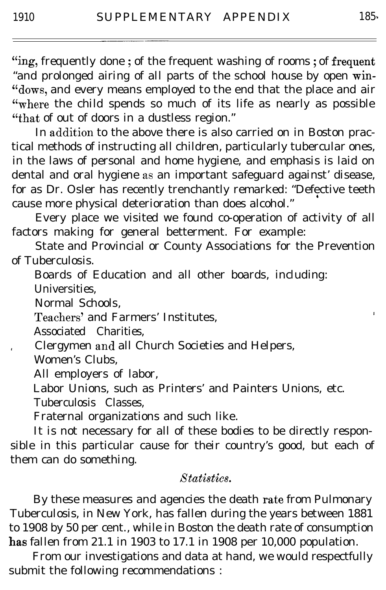"ing, frequently done; of the frequent washing of rooms; of frequent "and prolonged airing of all parts of the school house by open win- "dows, and every means employed to the end that the place and air "where the child spends so much of its life as nearly as possible "that of out of doors in a dustless region."

In addition to the above there is also carried on in Boston practical methods of instructing all children, particularly tubercular ones, in the laws of personal and home hygiene, and emphasis is laid on dental and oral hygiene as an important safeguard against' disease, for as Dr. Osler has recently trenchantly remarked: "Defective teeth cause more physical deterioration than does alcohol." '

Every place we visited we found co-operation of activity of all factors making for general betterment. For example:

State and Provincial or County Associations for the Prevention of Tuberculosis.

Boards of Education and all other boards, including:

**Universities** 

Normal Schools,

.Teachers' and Farmers' Institutes,

Associated Charities,

Clergymen and all Church Societies and Helpers,

Women's Clubs

All employers of labor,

Labor Unions, such as Printers' and Painters Unions, etc.

Tuberculosis Classes,

Fraternal organizations and such like.

It is not necessary for all of these bodies to be directly responsible in this particular cause for their country's good, but each of them can do something.

#### *Xtatistics.*

By these measures and agencies the death rate from Pulmonary Tuberculosis, in New York, has fallen during the years between 1881 to 1908 by 50 per cent., while in Boston the death rate of consumption has fallen from 21.1 in 1903 to 17.1 in 1908 per 10,000 population.

From our investigations and data at hand, we would respectfully submit the following recommendations :

 $\mathbf{I}$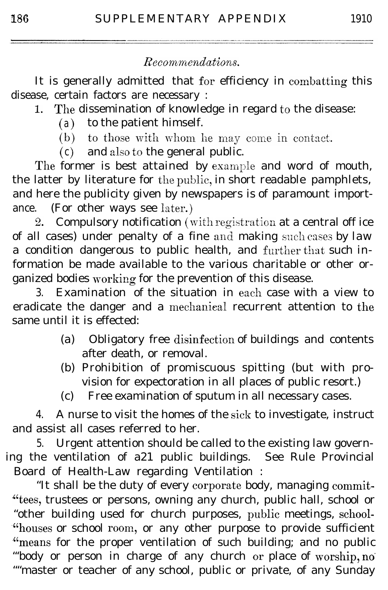### *Recommedations.*

It is generally admitted that for efficiency in combatting this disease, certain factors are necessary :

- 1. The dissemination of knowledge in regard to the disease:
	- *( a <sup>&</sup>gt;* to the patient himself.
	- (b) to those with whom he may come in contact.
	- *( <sup>&</sup>gt; c* and a2ss to the general public.

The former is best attained by example and word of mouth, the latter by literature for the public, in short readable pamphlets, and here the publicity given by newspapers is of paramount importance. (For other ways see later.)

2. Compulsory notification (with registration at a central off ice of all cases) under penalty of a fine and making such cases by law a condition dangerous to public health, and further that such information be made available to the various charitable or other organized bodies working for the prevention of this disease.

 $3.$  Examination of the situation in each case with a view to eradicate the danger and a mechanieal recurrent attention to the same until it is effected:

- (a) Obligatory free disinfection of buildings and contents after death, or removal.
- (b) Prohibition of promiscuous spitting (but with provision for expectoration in all places of public resort.)
- (c) Free examination of sputum in all necessary cases.

4. A nurse to visit the homes of the sick to investigate, instruct and assist all cases referred to her.

5. Urgent attention should be called to the existing law governing the ventilation of a21 public buildings. See Rule Provincial Board of Health-Law regarding Ventilation :

"It shall be the duty of every corporate body, managing commit-"tees, trustees or persons, owning any church, public hall, school or "other building used for church purposes, public meetings, school-"houses or school room, or any other purpose to provide sufficient ."means for the proper ventilation of such building; and no public "'body or person in charge of any church 0r place of worship, no\* ""master or teacher of any school, public or private, of any Sunday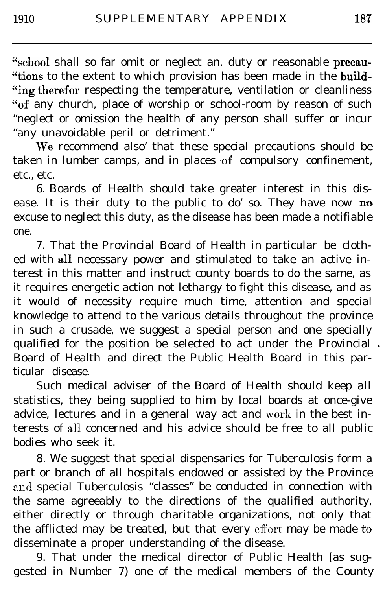"school shall so far omit or neglect an. duty or reasonable precau-"tions to the extent to which provision has been made in the **build-**"ing therefor respecting the temperature, ventilation or cleanliness "of any church, place of worship or school-room by reason of such "neglect or omission the health of any person shall suffer or incur "any unavoidable peril or detriment."

We recommend also' that these special precautions should be taken in lumber camps, and in places of compulsory confinement, etc., etc.

6. Boards of Health should take greater interest in this disease. It is their duty to the public to do' so. They have now no excuse to neglect this duty, as the disease has been made a notifiable one.

7. That the Provincial Board of Health in particular be clothed with all necessary power and stimulated to take an active interest in this matter and instruct county boards to do the same, as it requires energetic action not lethargy to fight this disease, and as it would of necessity require much time, attention and special knowledge to attend to the various details throughout the province in such a crusade, we suggest a special person and one specially qualified for the position be selected to act under the Provincial. Board of Health and direct the Public Health Board in this particular disease.

Such medical adviser of the Board of Health should keep all statistics, they being supplied to him by local boards at once-give advice, lectures and in a general way act and work in the best interests of all concerned and his advice should be free to all public bodies who seek it.

8. We suggest that special dispensaries for Tuberculosis form a part or branch of all hospitals endowed or assisted by the Province and special Tuberculosis "classes" be conducted in connection with the same agreeably to the directions of the qualified authority, either directly or through charitable organizations, not only that the afflicted may be treated, but that every effort may be made to. disseminate a proper understanding of the disease.

9. That under the medical director of Public Health [as suggested in Number 7) one of the medical members of the County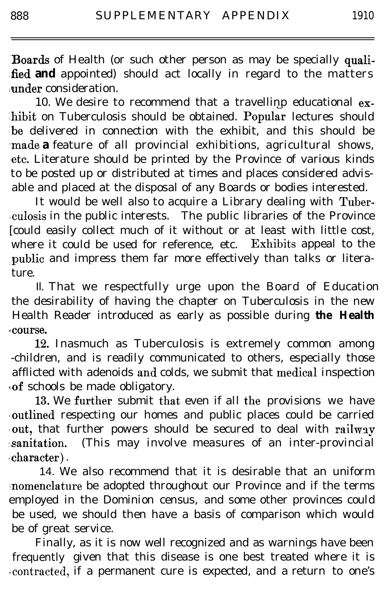**-Boards** of Health (or such other person as may be specially quali**fied and** appointed) should act locally in regard to the matters ;under consideration.

10. We desire to recommend that a travellinp educational exhibit on Tuberculosis should be obtained. Popular lectures should be delivered in connection with the exhibit, and this should be -made **a** feature of all provincial exhibitions, agricultural shows, etc. Literature should be printed by the Province of various kinds to be posted up or distributed at times and places considered advisable and placed at the disposal of any Boards or bodies interested.

It would be well also to acquire a Library dealing with Tuberculosis in the public interests. The public libraries of the Province [could easily collect much of it without or at least with little cost, where it could be used for reference, etc. Exhibits appeal to the .public and impress them far more effectively than talks or literature.

Il. That we respectfully urge upon the Board of Education the desirability of having the chapter on Tuberculosis in the new Health Reader introduced as early as possible during **the Health** 4ourse.

12. Inasmuch as Tuberculosis is extremely common among -children, and is readily communicated to others, especially those afflicted with adenoids and colds, we submit that medical inspection b-of schools be made obligatory.

13. We further submit that even if all the provisions we have Loutlined respecting our homes and public places could be carried out, that further powers should be secured to deal with railway :sanitation. (This may involve measures of an inter-provincial  $\cdot$ character).

14. We also recommend that it is desirable that an uniform !nomenclature be adopted throughout our Province and if the terms employed in the Dominion census, and some other provinces could be used, we should then have a basis of comparison which would be of great service.

Finally, as it is now well recognized and as warnings have been frequently given that this disease is one best treated where it is @contracted, if a permanent cure is expected, and a return to one's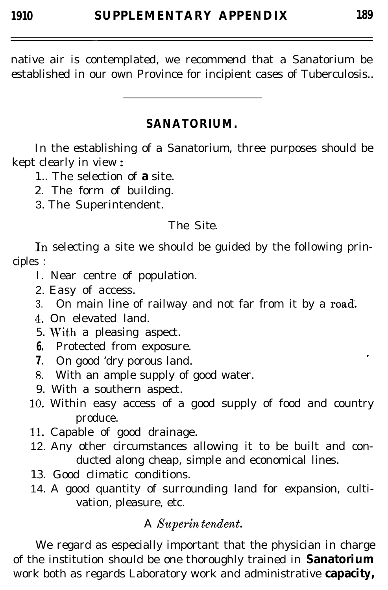native air is contemplated, we recommend that a Sanatorium be established in our own Province for incipient cases of Tuberculosis..

### **SANATORIUM.**

In the establishing of a Sanatorium, three purposes should be kept clearly in view :

1.. The selection of **a** site.

-

- 2. The form of building.
- 3. The Superintendent.

#### *The Site.*

In selecting a site we should be guided by the following principles :

- I. Near centre of population.
- 2. Easy of access.
- 3. On main line of railway and not far from it by a road:
- 4. On elevated land.
- 5. With a pleasing aspect.
- **6.** Protected from exposure.
- **7** On good 'dry porous land.
- **8:** With an ample supply of good water.
- 9. With a southern aspect.
- 10. Within easy access of a good supply of food and country produce.
- IL Capable of good drainage.
- 12. Any other circumstances allowing it to be built and conducted along cheap, simple and economical lines.
- 13. Good climatic conditions.
- 14. A good quantity of surrounding land for expansion, cultivation, pleasure, etc.

# *A Superin tendent.*

We regard as especially important that the physician in charge of the institution should be one thoroughly trained in **Sanatorium** work both as regards Laboratory work and administrative **capacity,**

t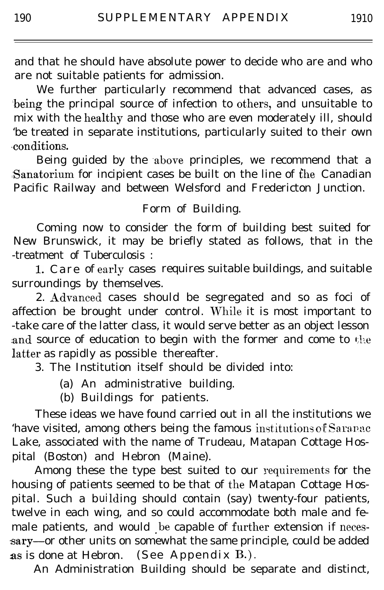and that he should have absolute power to decide who are and who are not suitable patients for admission.

We further particularly recommend that advanced cases, as being the principal source of infection to others, and unsuitable to mix with the healthy and those who are even moderately ill, should 'be treated in separate institutions, particularly suited to their own ,conditions.

Being guided by the above principles, we recommend that a Sanatorium for incipient cases be built on the line of the Canadian Pacific Railway and between Welsford and Fredericton Junction.

### *Form of Building.*

Coming now to consider the form of building best suited for New Brunswick, it may be briefly stated as follows, that in the -treatment of Tuberculosis :

1. Care of early cases requires suitable buildings, and suitable surroundings by themselves.

2. Advanced cases should be segregated and so as foci of affection be brought under control. While it is most important to -take care of the latter class, it would serve better as an object lesson and source of education to begin with the former and come to the latter as rapidly as possible thereafter.

3. The Institution itself should be divided into:

- (a) An administrative building.
- (b) Buildings for patients.

These ideas we have found carried out in all the institutions we 'have visited, among others being the famous institutions of Sarapac Lake, associated with the name of Trudeau, Matapan Cottage Hospital (Boston) and Hebron (Maine).

Among these the type best suited to our requirements for the housing of patients seemed to be that of the Matapan Cottage Hospital. Such a building should contain (say) twenty-four patients, twelve in each wing, and so could accommodate both male and female patients, and would be capable of further extension if necessary-or other units on somewhat the same principle, could be added as is done at Hebron. (See Appendix B.).

An Administration Building should be separate and distinct,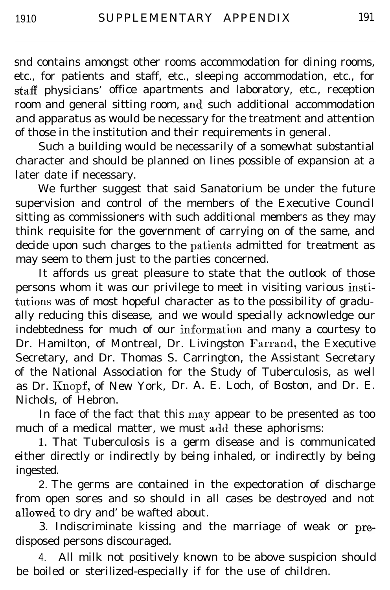snd contains amongst other rooms accommodation for dining rooms, etc., for patients and staff, etc., sleeping accommodation, etc., for staff physicians' office apartments and laboratory, etc., reception room and general sitting room, and such additional accommodation and apparatus as would be necessary for the treatment and attention of those in the institution and their requirements in general.

Such a building would be necessarily of a somewhat substantial character and should be planned on lines possible of expansion at a later date if necessary.

We further suggest that said Sanatorium be under the future supervision and control of the members of the Executive Council sitting as commissioners with such additional members as they may think requisite for the government of carrying on of the same, and decide upon such charges to the patients admitted for treatment as may seem to them just to the parties concerned.

It affords us great pleasure to state that the outlook of those persons whom it was our privilege to meet in visiting various insti- -tutions was of most hopeful character as to the possibility of gradually reducing this disease, and we would specially acknowledge our indebtedness for much of our information and many a courtesy to Dr. Hamilton, of Montreal, Dr. Livingston Farrand, the Executive Secretary, and Dr. Thomas S. Carrington, the Assistant Secretary of the National Association for the Study of Tuberculosis, as well as Dr. Knopf, of New York, Dr. A. E. Loch, of Boston, and Dr. E. Nichols, of Hebron.

In face of the fact that this may appear to be presented as too much of a medical matter, we must add these aphorisms:

I. That Tuberculosis is a germ disease and is communicated either directly or indirectly by being inhaled, or indirectly by being ingested.

2. The germs are contained in the expectoration of discharge from open sores and so should in all cases be destroyed and not allowed to dry and' be wafted about.

3. Indiscriminate kissing and the marriage of weak or predisposed persons discouraged.

4. All milk not positively known to be above suspicion should be boiled or sterilized-especially if for the use of children.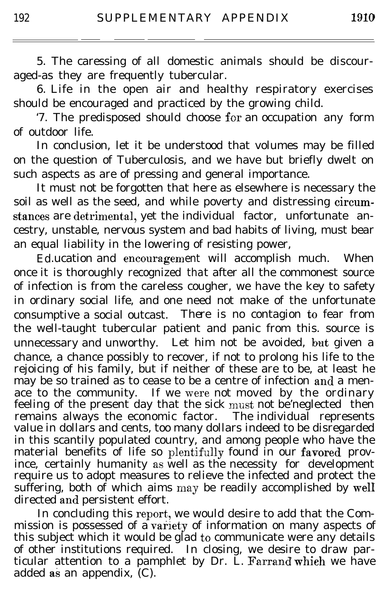5. The caressing of all domestic animals should be discouraged-as they are frequently tubercular.

6. Life in the open air and healthy respiratory exercises should be encouraged and practiced by the growing child.

'7. The predisposed should choose for an occupation any form of outdoor life.

In conclusion, let it be understood that volumes may be filled on the question of Tuberculosis, and we have but briefly dwelt on such aspects as are of pressing and general importance.

It must not be forgotten that here as elsewhere is necessary the soil as well as the seed, and while poverty and distressing circumstances are detrimental, yet the individual factor, unfortunate ancestry, unstable, nervous system and bad habits of living, must bear an equal liability in the lowering of resisting power,

Ed.ucation and encouragem ent will accomplish much. When once it is thoroughly recognized tha t after all the commonest source of infection is from the careless cougher, we have the key to safety in ordinary social life, and one need not make of the unfortunate consumptive a social outcast. *There* is no contagion to fear from the well-taught tubercular patient and panic from this. source is unnecessary and unworthy. Let him not be avoided, but given a chance, a chance possibly to recover, if not to prolong his life to the rejoicing of his family, but if neither of these are to be, at least he may be so trained as to cease to be a centre of infection and a menace to the community. If we were not moved by the ordinary feeling of the present day that the sick must not be'neglected then remains always the economic factor. The individual represents value in dollars and cents, too many dollars indeed to be disregarded in this scantily populated country, and among people who have the material benefits of life so plentifully found in our favored province, certainly humanity as well as the necessity for development require us to adopt measures to relieve the infected and protect the suffering, both of which aims may be readily accomplished by well directed and persistent effort.

In concluding this report, we would desire to add that the Commission is possessed of a variety of information on many aspects of this subject which it would be glad to communicate were any details of other institutions required. In closing, we desire to draw particular attention to a pamphlet by Dr. L. Farrand which we have added  $\mathbf{a}$ s an appendix,  $(C)$ .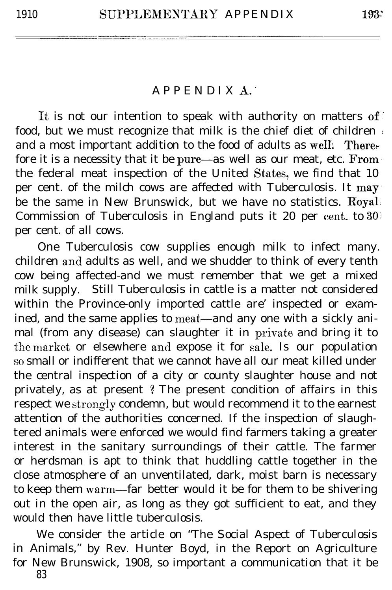---\_\_\_\_\_\_

-\_\_\_\_\_\_-\_L---\_---

--.\_-\_----- \_-.\_\_-----------\_-

#### APPENDIX A. \*

It is not our intention to speak with authority on matters of food, but we must recognize that milk is the chief diet of children : and a most important addition to the food of adults as well. Therefore it is a necessity that it be pure-as well as our meat, etc.  $From$ the federal meat inspection of the United States, we find that 10 per cent. of the milch cows are affected with Tuberculosis. It may be the same in New Brunswick, but we have no statistics. Royal! Commission of Tuberculosis in England puts it 20 per cent. to  $30$ ) per cent. of all cows.

One Tuberculosis cow supplies enough milk to infect many. children and adults as well, and we shudder to think of every tenth cow being affected-and we must remember that we get a mixed milk supply. Still Tuberculosis in cattle is a matter not considered within the Province-only imported cattle are' inspected or examined, and the same applies to meat—and any one with a sickly animal (from any disease) can slaughter it in private and bring it to the market or elsewhere and expose it for sale. Is our population so small or indifferent that we cannot have all our meat killed under the central inspection of a city or county slaughter house and not privately, as at present ? The present condition of affairs in this respect we strongly condemn, but would recommend it to the earnest attention of the authorities concerned. If the inspection of slaughtered animals were enforced we would find farmers taking a greater interest in the sanitary surroundings of their cattle. The farmer or herdsman is apt to think that huddling cattle together in the close atmosphere of an unventilated, dark, moist barn is necessary to keep them warm-far better would it be for them to be shivering out in the open air, as long as they got sufficient to eat, and they would then have little tuberculosis

We consider the article on "The Social Aspect of Tuberculosis in Animals," by Rev. Hunter Boyd, in the Report on Agriculture for New Brunswick, *1908,* so important a communication that it be 83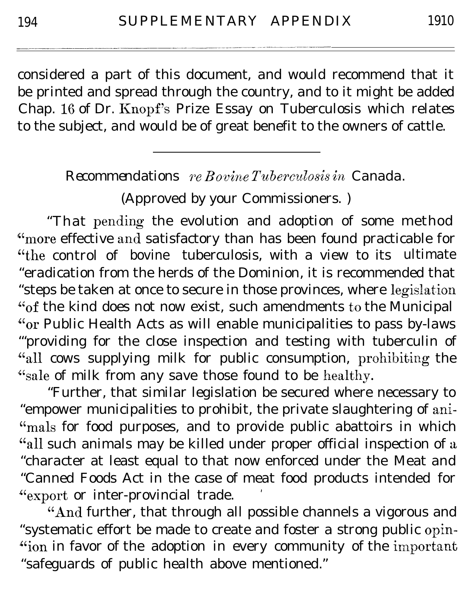considered a part of this document, and would recommend that it be printed and spread through the country, and to it might be added Chap. 16 of Dr. Knopf's Prize Essay on Tuberculosis which relates to the subject, and would be of great benefit to the owners of cattle.

*Recommendations*  $re Bovine Tuberculosis in Canada$ *.* 

(Approved by your Commissioners. )

"That pending the evolution and adoption of some method "more effective and satisfactory than has been found practicable for "the control of bovine tuberculosis, with a view to its ultimate "eradication from the herds of the Dominion, it is recommended that "steps be taken at once to secure in those provinces, where legislation "of the kind does not now exist, such amendments to the Municipal "or Public Health Acts as will enable municipalities to pass by-laws '"providing for the close inspection and testing with tuberculin of "all cows supplying milk for public consumption, prohibiting the "sale of milk from any save those found to be healthy.

"Further, that similar legislation be secured where necessary to "empower municipalities to prohibit, the private slaughtering of ani- "mals for food purposes, and to provide public abattoirs in which "all such animals may be killed under proper official inspection of a "character at least equal to that now enforced under the Meat and "Canned Foods Act in the case of meat food products intended for b"export or inter-provincial trade. '

"And further, that through all possible channels a vigorous and "systematic effort be made to create and foster a strong public opin- "ion in favor of the adoption in every community of the important "safeguards of public health above mentioned."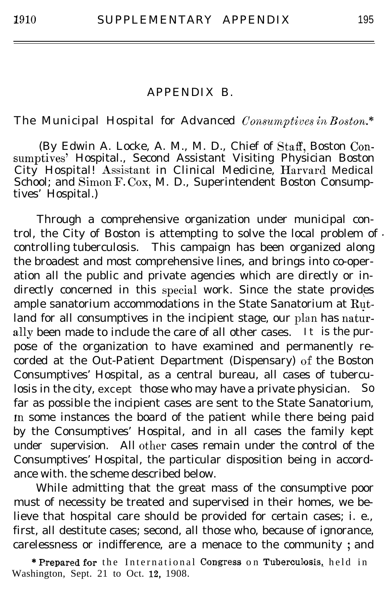#### APPENDIX B.

#### *The Municipal Hospital for Advanced Colzsumptives in Boston.\**

(By Edwin A. Locke, A. M., M. D., Chief of Staff, Boston Con sumptives' Hospital., Second Assistant Visiting Physician Boston City Hospital! Assistant in Clinical Medicine, Harvard Medical School; and Simon F. Cox, M. D., Superintendent Boston Consumptives' Hospital.)

Through a comprehensive organization under municipal control, the City of Boston is attempting to solve the local problem of controlling tuberculosis. This campaign has been organized along the broadest and most comprehensive lines, and brings into co-operation all the public and private agencies which are directly or indirectly concerned in this special work. Since the state provides ample sanatorium accommodations in the State Sanatorium at Rutland for all consumptives in the incipient stage, our plan has naturally been made to include the care of all other cases. It is the purpose of the organization to have examined and permanently recorded at the Out-Patient Department (Dispensary) of the Boston Consumptives' Hospital, as a central bureau, all cases of tuberculosis in the city, except those who may have a private physician. So far as possible the incipient cases are sent to the State Sanatorium, In some instances the board of the patient while there being paid by the Consumptives' Hospital, and in all cases the family kept under supervision. All other cases remain under the control of the Consumptives' Hospital, the particular disposition being in accordance with. the scheme described below.

While admitting that the great mass of the consumptive poor must of necessity be treated and supervised in their homes, we believe that hospital care should be provided for certain cases; i. e., first, all destitute cases; second, all those who, because of ignorance, carelessness or indifference, are a menace to the community ; and

\* Prepared for the International Congress on Tuberculosis, held in Washington, Sept. 21 to Oct. 12, 1908.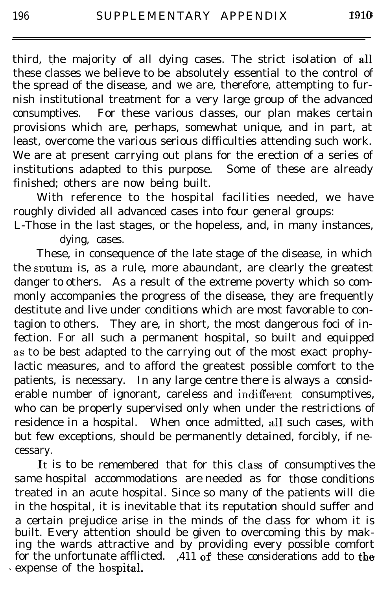third, the majority of all dying cases. The strict isolation of all these classes we believe to be the spread of the disease, and absolutely essential to the control of we are, therefore, attempting to furnish institutional treatment for a very large group of the advanced consumptives. For these various classes, our plan makes certain provisions which are, perhaps, somewhat unique, and in part, at least, overcome the various serious difficulties attending such work. We are at present carrying out plans for the erection of a series of institutions adapted to this purpose. Some of these are already finished; others are now being built.

With reference to the hospital facilities needed, we have roughly divided all advanced cases into four general groups:

L-Those in the last stages, or the hopeless, and, in many instances, dying, cases.

These, in consequence of the late stage of the disease, in which the snutum is, as a rule, more abaundant, are clearly the greatest danger to others. As a result of the extreme poverty which so commonly accompanies the progress of the disease, they are frequently destitute and live under conditions which are most favorable to contagion to others. They are, in short, the most dangerous foci of infection. For all such a permanent hospital, so built and equipped as to be best adapted to the carrying out of the most exact prophylactic measures, and to afford the greatest possible comfort to the patients, is necessary. In any large centre there is always a considerable number of ignorant, careless and indifferent consumptives, who can be properly supervised only when under the restrictions of residence in a hospital. When once admitted, alI such cases, with but few exceptions, should be permanently detained, forcibly, if necessary.

It is to be remembered that for this class of consumptives the same hospital accommodations are needed as for those conditions treated in an acute hospital. Since so many of the patients will die in the hospital, it is inevitable that its reputation should suffer and a certain prejudice arise in the minds of the class for whom it is built. Every attention should be given to overcoming this by making the wards attractive and by providing every possible comfort for the unfortunate afflicted.  $,411$  of these considerations add to the  $\cdot$  expense of the hospital.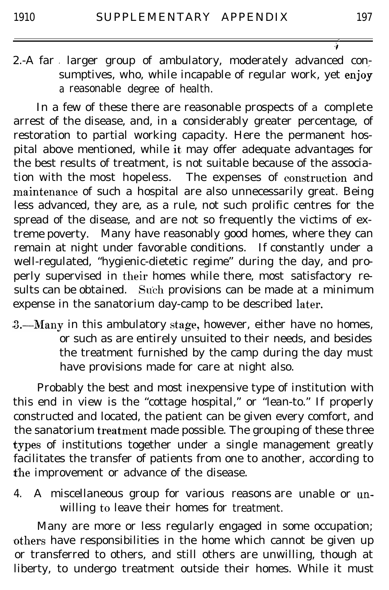2.-A far larger group of ambulatory, moderately advanced consumptives, who, while incapable of regular work, yet enjoy a reasonable degree of health.

In a few of these there are reasonable prospects of a complete arrest of the disease, and, in a considerably greater percentage, of restoration to partial working capacity. Here the permanent hospital above mentioned, while it may offer adequate advantages for the best results of treatment, is not suitable because of the association with the most hopeless. The expenses of construction and .maintenance of such a hospital are also unnecessarily great. Being less advanced, they are, as a rule, not such prolific centres for the spread of the disease, and are not so frequently the victims of extreme poverty. Many have reasonably good homes, where they can remain at night under favorable conditions. If constantly under a well-regulated, "hygienic-dietetic regime" during the day, and properly supervised in their homes while there, most satisfactory results can be obtained. Such provisions can be made at a minimum expense in the sanatorium day-camp to be described later.

3.-Many in this ambulatory stage, however, either have no homes, or such as are entirely unsuited to their needs, and besides the treatment furnished by the camp during the day must have provisions made for care at night also.

Probably the best and most inexpensive type of institution with this end in view is the "cottage hospital," or "lean-to." If properly constructed and located, the patient can be given every comfort, and the sanatorium treatment made possible. The grouping of these three types of institutions together under a single management greatly facilitates the transfer of patients from one to another, according to the improvement or advance of the disease.

4. A miscellaneous group for various reasons are unable or unwilling to leave their homes for treatment.

Many are more or less regularly engaged in some occupation; others have responsibilities in the home which cannot be given up or transferred to others, and still others are unwilling, though at liberty, to undergo treatment outside their homes. While it must

,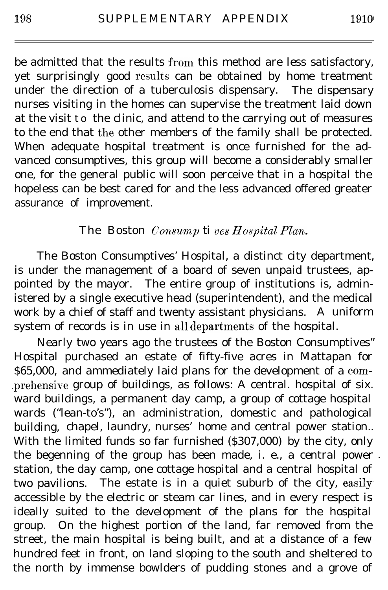be admitted that the results from this method are less satisfactory, yet surprisingly good results can be obtained by home treatment under the direction of a tuberculosis dispensary. The dispensary nurses visiting in the homes can supervise the treatment laid down at the visit to the clinic, and attend to the carrying out of measures to the end that the other members of the family shall be protected. When adequate hospital treatment is once furnished for the advanced consumptives, this group will become a considerably smaller one, for the general public will soon perceive that in a hospital the hopeless can be best cared for and the less advanced offered greater assurance of improvement.

### *The Boston Consump ti ves Hospital Plan.*

The Boston Consumptives' Hospital, a distinct city department, is under the management of a board of seven unpaid trustees, appointed by the mayor. The entire group of institutions is, administered by a single executive head (superintendent), and the medical work by a chief of staff and twenty assistant physicians. A uniform system of records is in use in all departments of the hospital.

Nearly two years ago the trustees of the Boston Consumptives" Hospital purchased an estate of fifty-five acres in Mattapan for *\$65,000,* and ammediately laid plans for the development of a com- ,prehensive group of buildings, as follows: A central. hospital of six. ward buildings, a permanent day camp, a group of cottage hospital wards ("lean-to's"), an administration, domestic and pathological building, chapel, laundry, nurses' home and central power station.. With the limited funds so far furnished *(\$307,000)* by the city, only the begenning of the group has been made, i. e., a central power. station, the day camp, one cottage hospital and a central hospital of two pavilions. The estate is in a quiet suburb of the city, easilyaccessible by the electric or steam car lines, and in every respect is ideally suited to the development of the plans for the hospital group. On the highest portion of the land, far removed from the street, the main hospital is being built, and at a distance of a few hundred feet in front, on land sloping to the south and sheltered to the north by immense bowlders of pudding stones and a grove of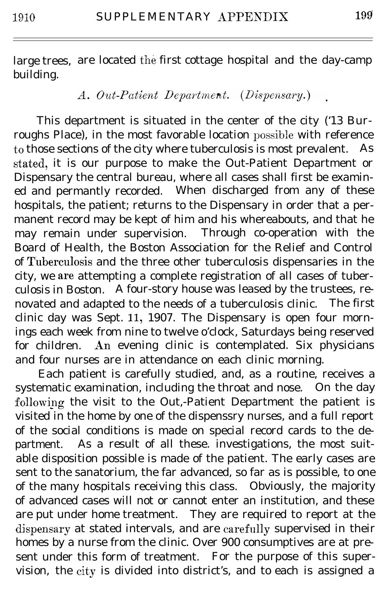large trees, are located the first cottage hospital and the day-camp building.

A. Out-Patient Department. (Dispensary.)

This department is situated in the center of the city ('13 Burroughs Place), in the most favorable location possible with reference to those sections of the city where tuberculosis is most prevalent. As stated, it is our purpose to make the Out-Patient Department or Dispensary the central bureau, where all cases shall first be examined and permantly recorded. When discharged from any of these hospitals, the patient; returns to the Dispensary in order that a permanent record may be kept of him and his whereabouts, and that he may remain under supervision. Through co-operation with the Board of Health, the Boston Association for the Relief and Control of Tuberculosis and the three other tuberculosis dispensaries in the city, we are attempting a complete registration of all cases of tuberculosis in Boston. A four-story house was leased by the trustees, renovated and adapted to the needs of a tuberculosis clinic. The first clinic day was Sept. II, 1907. The Dispensary is open four mornings each week from nine to twelve o'clock, Saturdays being reserved for children. An evening clinic is contemplated. Six physicians and four nurses are in attendance on each clinic morning.

Each patient is carefully studied, and, as a routine, receives a systematic examination, including the throat and nose. On the day followipg the visit to the Out,-Patient Department the patient is visited in the home by one of the dispenssry nurses, and a full report of the social conditions is made on special record cards to the department. As a result of all these. investigations, the most suitable disposition possible is made of the patient. The early cases are sent to the sanatorium, the far advanced, so far as is possible, to one of the many hospitals receiving this class. Obviously, the majority of advanced cases will not or cannot enter an institution, and these are put under home treatment. They are required to report at the dispensary at stated intervals, and are carefully supervised in their homes by a nurse from the clinic. Over 900 consumptives are at present under this form of treatment. For the purpose of this supervision, the city is divided into district's, and to each is assigned a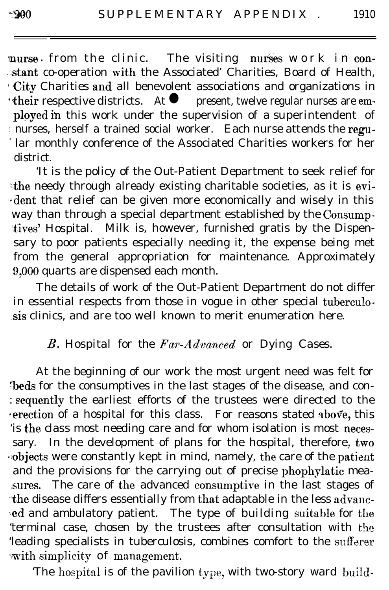murse from the clinic. The visiting nurses work in conistant co-operation with the Associated' Charities, Board of Health, <sup>4</sup>City Charities and all benevolent associations and organizations in  $\cdot$  their respective districts. At  $\bullet$  present, twelve regular nurses are employed in this work under the supervision of a superintendent of : nurses, herself a trained social worker. Each nurse attends the regu- ' lar monthly conference of the Associated Charities workers for her district.

'It is the policy of the Out-Patient Department to seek relief for the needy through already existing charitable societies, as it is evivdent that relief can be given more economically and wisely in this way than through a special department established by the Consumptives' Hospital. Milk is, however, furnished gratis by the Dispensary to poor patients especially needing it, the expense being met from the general appropriation for maintenance. Approximately 9,000 quarts are dispensed each month.

The details of work of the Out-Patient Department do not differ in essential respects from those in vogue in other special tuberculo sis clinics, and are too well known to merit enumeration here.

### *B. Hospital for the Fa+Advanced or Dying Cases.*

At the beginning of our work the most urgent need was felt for "beds for the consumptives in the last stages of the disease, and con- : sequently the earliest efforts of the trustees were directed to the erection of a hospital for this class. For reasons stated above, this 'is the class most needing care and for whom isolation is most necessary. In the development of plans for the hospital, therefore, two bjects were constantly kept in mind, namely, the care of the patient and the provisions for the carrying out of precise phophylatic mea sures. The care of the advanced consumptive in the last stages of the disease differs essentially from that adaptable in the less advanced and ambulatory patient. The type of building suitable for the 'terminal case, chosen by the trustees after consultation with the 'leading specialists in tuberculosis, combines comfort to the sufferer with simplicity of management.

'The hospital is of the pavilion type, with two-story ward build-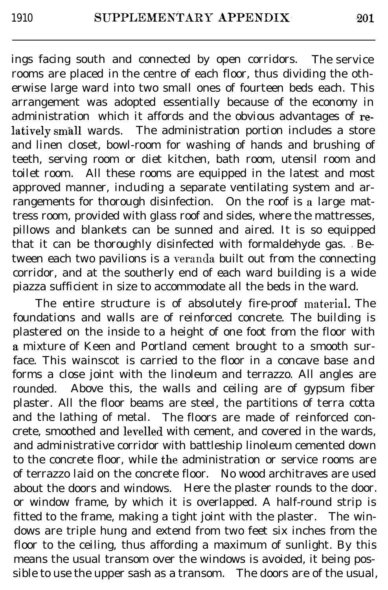ings facing south and connected by open corridors. The service rooms are placed in the centre of each floor, thus dividing the otherwise large ward into two small ones of fourteen beds each. This arrangement was adopted essentially because of the economy in administration which it affords and the obvious advantages of relatively small wards. The administration portion includes a store and linen closet, bowl-room for washing of hands and brushing of teeth, serving room or diet kitchen, bath room, utensil room and toilet room. All these rooms are equipped in the latest and most approved manner, including a separate ventilating system and arrangements for thorough disinfection. On the roof is a large mattress room, provided with glass roof and sides, where the mattresses, pillows and blankets can be sunned and aired. It is so equipped that it can be thoroughly disinfected with formaldehyde gas. Between each two pavilions is a veranda built out from the connecting corridor, and at the southerly end of each ward building is a wide piazza sufficient in size to accommodate all the beds in the ward.

The entire structure is of absolutely fire-proof material. The foundations and walls are of reinforced concrete. The building is plastered on the inside to a height of one foot from the floor with a mixture of Keen and Portland cement brought to a smooth surface. This wainscot is carried to the floor in a concave base and forms a close joint with the linoleum and terrazzo. All angles are rounded. Above this, the walls and ceiling are of gypsum fiber plaster. All the floor beams are steel, the partitions of terra cotta and the lathing of metal. The floors are made of reinforced concrete, smoothed and levelled with cement, and covered in the wards, and administrative corridor with battleship linoleum cemented down to the concrete floor, while the administration or service rooms are of terrazzo laid on the concrete floor. No wood architraves are used about the doors and windows. Here the plaster rounds to the door. or window frame, by which it is overlapped. A half-round strip is fitted to the frame, making a tight joint with the plaster. The windows are triple hung and extend from two feet six inches from the floor to the ceiling, thus affording a maximum of sunlight. By this means the usual transom over the windows is avoided, it being possible to use the upper sash as a transom. The doors are of the usual,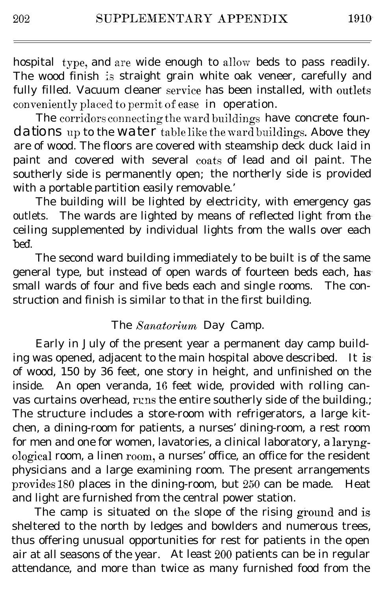hospital type, and are wide enough to allow beds to pass readily. The wood finish is straight grain white oak veneer, carefully and fully filled. Vacuum cleaner service has been installed, with outlets conveniently placed to permit of ease in operation.

The corridors connecting the ward buildings have concrete foundations up to the water table like the ward buildings. Above they are of wood. The floors are covered with steamship deck duck laid in paint and covered with several coats of lead and oil paint. The southerly side is permanently open; the northerly side is provided with a portable partition easily removable.'

The building will be lighted by electricity, with emergency gas outlets. The wards are lighted by means of reflected light from the ceiling supplemented by individual lights from the walls over each bed.

The second ward building immediately to be built is of the same general type, but instead of open wards of fourteen beds each, has small wards of four and five beds each and single rooms. The construction and finish is similar to that in the first building.

### *The Xanatorium Day Camp.*

Early in July of the present year a permanent day camp building was opened, adjacent to the main hospital above described. It is of wood, 150 by 36 feet, one story in height, and unfinished on the inside. An open veranda, 16 feet wide, provided with rolling canvas curtains overhead, runs the entire southerly side of the building.; The structure includes a store-room with refrigerators, a large kitchen, a dining-room for patients, a nurses' dining-room, a rest room for men and one for women, lavatories, a clinical laboratory, a laryngological room, a linen room, a nurses' office, an office for the resident physicians and a large examining room. The present arrangements provides 180 places in the dining-room, but 250 can be made. Heat and light are furnished from the central power station.

The camp is situated on the slope of the rising ground and is sheltered to the north by ledges and bowlders and numerous trees, thus offering unusual opportunities for rest for patients in the open air at all seasons of the year. At least 200 patients can be in regular attendance, and more than twice as many furnished food from the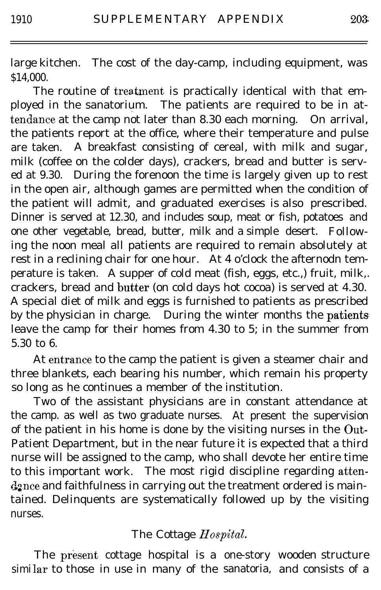large kitchen. The cost of the day-camp, including equipment, was \$14,000.

The routine of treatment is practically identical with that employed in the sanatorium. The patients are required to be in attendance at the camp not later than 8.30 each morning. On arrival, the patients report at the office, where their temperature and pulse are taken. A breakfast consisting of cereal, with milk and sugar, milk (coffee on the colder days), crackers, bread and butter is served at 9.30. During the forenoon the time is largely given up to rest in the open air, although games are permitted when the condition of the patient will admit, and graduated exercises is also prescribed. Dinner is served at 12.30, and includes soup, meat or fish, potatoes and one other vegetable, bread, butter, milk and a simple desert. Following the noon meal all patients are required to remain absolutely at rest in a reclining chair for one hour. At 4 o'clock the afternodn temperature is taken. A supper of cold meat (fish, eggs, etc.,) fruit, milk,. crackers, bread and butter (on cold days hot cocoa) is served at 4.30. A special diet of milk and eggs is furnished to patients as prescribed by the physician in charge. During the winter months the patients leave the camp for their homes from 4.30 to 5; in the summer from 5.30 to 6.

At entrance to the camp the patient is given a steamer chair and three blankets, each bearing his number, which remain his property so long as he continues a member of the institution.

Two of the assistant physicians are in constant attendance at the camp. as well as two graduate nurses. At present the supervision of the patient in his home is done by the visiting nurses in the Out-Patient Department, but in the near future it is expected that a third nurse will be assigned to the camp, who shall devote her entire time to this important work. The most rigid discipline regarding attendance and faithfulness in carrying out the treatment ordered is maintained. Delinquents are systematically followed up by the visiting nurses.

### *The Cottage FIospitaZ.*

simi lar to those in use in many of the sanatoria, and consists of aThe present cottage hospital is a one-story wooden structure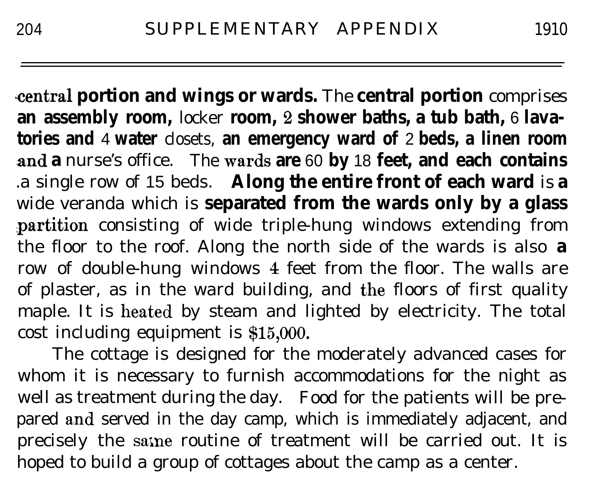**tcentral portion and wings or wards.** The **central portion** comprises **an assembly room,** locker **room, 2 shower baths, a tub bath,** 6 **lavatories and** 4 **water** closets, **an emergency ward of** 2 **beds, a linen room .and a** nurse's office. The **wa.rds are** 60 **by** 18 **feet, and each contains** .a single row of 15 beds. **Along the entire front of each ward** is **a** wide veranda which is **separated from the wards only by a glass** partition consisting of wide triple-hung windows extending from the floor to the roof. Along the north side of the wards is also **a** row of double-hung windows 4 feet from the floor. The walls are of plaster, as in the ward building, and the floors of first quality maple. It is heated by steam and lighted by electricity. The total  $cost$  including equipment is  $$15,000$ .

The cottage is designed for the moderately advanced cases for whom it is necessary to furnish accommodations for the night as well as treatment during the day. Food for the patients will be prepared and served in the day camp, which is immediately adjacent, and precisely the satne routine of treatment will be carried out. It is hoped to build a group of cottages about the camp as a center.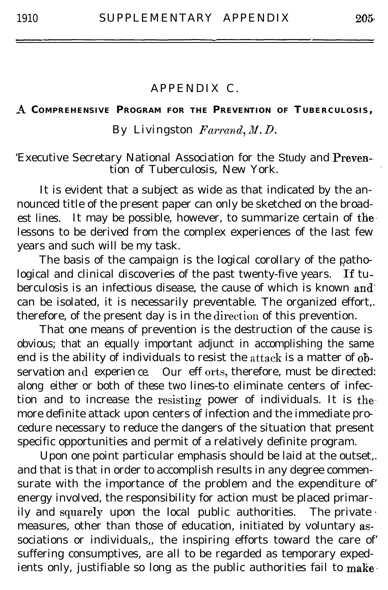#### APPENDIX C.

# ,Q **COMPREHENSIVE PROGRAM FOR THE PREVENTION OF T UBERCULOSIS ,** *By Livingston Farrand, ill. D.*

### 'Executive Secretary National Association for the Study and Preven-. tion of Tuberculosis, New York. .

It is evident that *a* subject as wide as that indicated by the announced title of the present paper can only be sketched on the broadest lines. It may be possible, however, to summarize certain of the lessons to be derived from the complex experiences of the last few years and such will be my task.

The basis of the campaign is the logical corollary of the pathological and clinical discoveries of the past twenty-five years. If tuberculosis is an infectious disease, the cause of which is known  $and^{\dagger}$ can be isolated, it is necessarily preventable. The organized effort,. therefore, of the present day is in the direction of this prevention.

That one means of prevention is the destruction of the cause is obvious; that an equally important adjunct in accomplishing the same end is the ability of individuals to resist the attack is a matter of observation and experien ce. Our eff orts, therefore, must be directed: along either or both of these two lines-to eliminate centers of infection and to increase the resisting power of individuals. It is the more definite attack upon centers of infection and the immediate procedure necessary to reduce the dangers of the situation that present specific opportunities and permit of a relatively definite program.

Upon one point particular emphasis should be laid at the outset,. and that is that in order to accomplish results in any degree commensurate with the importance of the problem and the expenditure of' energy involved, the responsibility for action must be placed primarily and squarely upon the local public authorities. The private measures, other than those of education, initiated by voluntary  $a s_7$ sociations or individuals,, the inspiring efforts toward the care of' suffering consumptives, are all to be regarded as temporary expedients only, justifiable so long as the public authorities fail to  $\text{make} \cdot$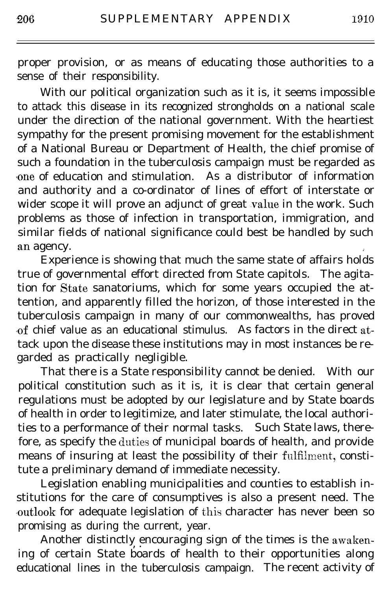proper provision, or as means of educating those authorities to a sense of their responsibility.

With our political organization such as it is, it seems impossible to attack this disease in its recognized strongholds on a national scale under the direction of the national government. With the heartiest sympathy for the present promising movement for the establishment of a National Bureau or Department of Health, the chief promise of such a foundation in the tuberculosis campaign must be regarded as lone of education and stimulation. As a distributor of information and authority and a co-ordinator of lines of effort of interstate or wider scope it will prove an adjunct of great value in the work. Such problems as those of infection in transportation, immigration, and similar fields of national significance could best be handled by such an agency.

Experience is showing that much the same state of affairs holds true of governmental effort directed from State capitols. The agitation for State sanatoriums, which for some years occupied the attention, and apparently filled the horizon, of those interested in the tuberculosis campaign in many of our commonwealths, has proved  $\alpha$  of chief value as an educational stimulus. As factors in the direct attack upon the disease these institutions may in most instances be regarded as practically negligible.

That there is a State responsibility cannot be denied. With our political constitution such as it is, it is clear that certain general regulations must be adopted by our legislature and by State boards of health in order to legitimize, and later stimulate, the local authorities to a performance of their normal tasks. Such State laws, therefore, as specify the duties of municipal boards of health, and provide means of insuring at least the possibility of their fulfilment, constitute a preliminary demand of immediate necessity.

Legislation enabling municipalities and counties to establish institutions for the care of consumptives is also a present need. The outlook for adequate legislation of this character has never been so promising as during the current, year.

Another distinctly encouraging sign of the times is the  $a$ wakening of certain State boards of health to their opportunities along educational lines in the tuberculosis campaign. The recent activity of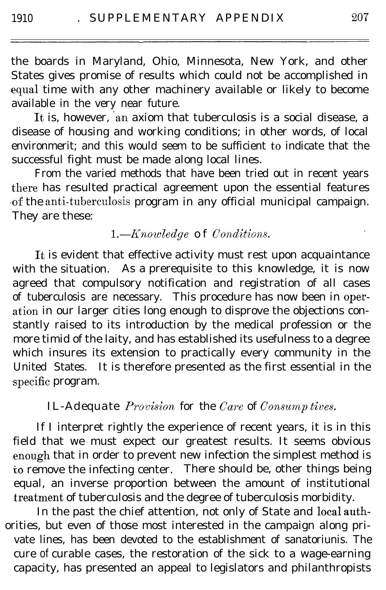the boards in Maryland, Ohio, Minnesota, New York, and other States gives promise of results which could not be accomplished in ,equal time with any other machinery available or likely to become available in the very near future.

It is, however, an axiom that tuberculosis is a social disease, a disease of housing and working conditions; in other words, of local environmerit; and this would seem to be sufficient to indicate that the successful fight must be made along local lines.

From the varied methods that have been tried out in recent years there has resulted practical agreement upon the essential features of the anti-tuberculosis program in any official municipal campaign. They are these:

### **1.**-*Knowledge* of *Conditions*.

It is evident that effective activity must rest upon acquaintance with the situation. As a prerequisite to this knowledge, it is now agreed that compulsory notification and registration of all cases of tuberculosis are necessary. This procedure has now been in operation in our larger cities long enough to disprove the objections constantly raised to its introduction by the medical profession or the more timid of the laity, and has established its usefulness to a degree which insures its extension to practically every community in the United States. It is therefore presented as the first essential in the specific program.

# *IL-Adequate Provision for the Care of Consump tives.*

If I interpret rightly the experience of recent years, it is in this field that we must expect our greatest results. It seems obvious enough that in order to prevent new infection the simplest method is to remove the infecting center. There should be, other things being equal, an inverse proportion between the amount of institutional treatment of tuberculosis and the degree of tuberculosis morbidity.

In the past the chief attention, not only of State and local authorities, but even of those most interested in the campaign along private lines, has been devoted to the establishment of sanatoriunis. The cure of curable cases, the restoration of the sick to a wage-earning capacity, has presented an appeal to legislators and philanthropists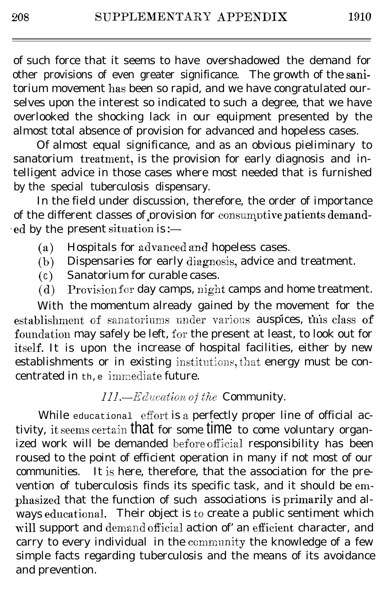of such force that it seems to have overshadowed the demand for other provisions of even greater significance. The growth of the sanitorium movement has been so rapid, and we have congratulated ourselves upon the interest so indicated to such a degree, that we have overlooked the shocking lack in our equipment presented by the almost total absence of provision for advanced and hopeless cases.

Of almost equal significance, and as an obvious pieliminary to sanatorium treatment, is the provision for early diagnosis and intelligent advice in those cases where most needed that is furnished by the special tuberculosis dispensary.

In the field under discussion, therefore, the order of importance of the different classes of provision for consumptive patients demanded by the present situation is :-

- (a) Hospitals for advanced and hopeless cases.
- (b) Dispensaries for early diagnosis, advice and treatment.
- $(c)$  Sanatorium for curable cases.
- $\widetilde{d}(d)$  Provision for day camps, night camps and home treatment.

With the momentum already gained by the movement for the establishment of sanatoriums under various auspices, this class of foundation may safely be left, for the present at least, to look out for itself. It is upon the increase of hospital facilities, either by new establishments or in existing institutions, that energy must be con $centrated in the immediate future.$ 

### HII.-Education of the Community.

While educational effort is a perfectly proper line of official activity, it seems certain that for some time to come voluntary organized work will be demanded before official responsibility has been roused to the point of efficient operation in many if not most of our communities. It is here, therefore, that the association for the prevention of tuberculosis finds its specific task, and it should be emphasized that the function of such associations is primarily and always educational. Their object is to create a public sentiment which will support and demand official action of an efficient character, and carry to every individual in the community the knowledge of a few simple facts regarding tuberculosis and the means of its avoidance and prevention.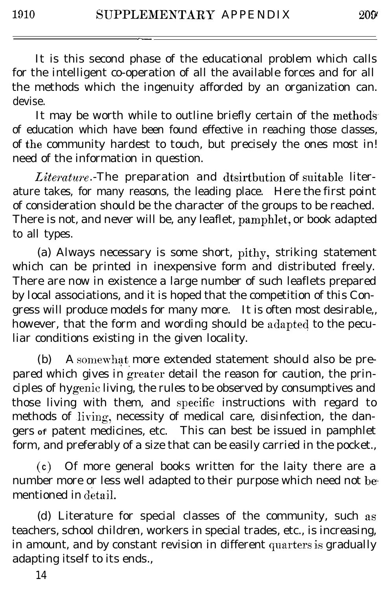,.-

It is this second phase of the educational problem which calls for the intelligent co-operation of all the available forces and for all the methods which the ingenuity afforded by an organization can. devise.

It may be worth while to outline briefly certain of the methods of education which have been found effective in reaching those classes, of the community hardest to touch, but precisely the ones most in! need of the information in question.

Literature.-The preparation and dtsirtbution of suitable literature takes, for many reasons, the leading place. Here the first point of consideration should be the character of the groups to be reached. There is not, and never will be, any leaflet, pamphlet, or book adapted to all types.

(a) Always necessary is some short, pithy, striking statement which can be printed in inexpensive form and distributed freely. There are now in existence a large number of such leaflets prepared by local associations, and it is hoped that the competition of this Congress will produce models for many more. It is often most desirable,, however, that the form and wording should be adapted to the peculiar conditions existing in the given locality.

(b) A somewhat more extended statement should also be prepared which gives in greater detail the reason for caution, the principles of hygenie living, the rules to be observed by consumptives and those living with them, and specific instructions with regard to methods of Jiving, necessity of medical care, disinfection, the dangers **of** patent medicines, etc. This can best be issued in pamphlet form, and preferably of a size that can be easily carried in the pocket.,

**( <sup>C</sup> <sup>&</sup>gt;** Of more general books written for the laity there are a number more or less well adapted to their purpose which need not be mentioned in detail.

 $(d)$  Literature for special classes of the community, such as teachers, school children, workers in special trades, etc., is increasing, in amount, and by constant revision in different quarters is gradually adapting itself to its ends.,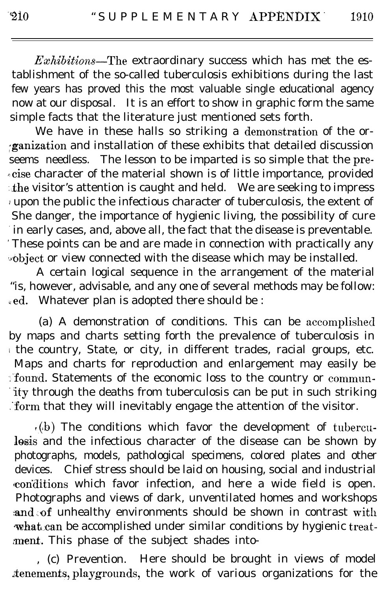$Exhibitions$ -The extraordinary success which has met the establishment of the so-called tuberculosis exhibitions during the last few years has proved this the most valuable single educational agency now at our disposal. It is an effort to show in graphic form the same simple facts that the literature just mentioned sets forth.

We have in these halls so striking a demonstration of the or-;Gganization and installation of these exhibits that detailed discussion seems needless. The lesson to be imparted is so simple that the prer:cise character of the material shown is of little importance, provided the visitor's attention is caught and held. We are seeking to impress i upon the public the infectious character of tuberculosis, the extent of She danger, the importance of hygienic living, the possibility of cure ' in early cases, and, above all, the fact that the disease is preventable. ' These points can be and are made in connection with practically any vobject or view connected with the disease which may be installed.

A certain logical sequence in the arrangement of the material "is, however, advisable, and any one of several methods may be follow: ;:ed. Whatever plan is adopted there should be :

(a) A demonstration of conditions. This can be accomplished by maps and charts setting forth the prevalence of tuberculosis in i the country, State, or city, in different trades, racial groups, etc. Maps and charts for reproduction and enlargement may easily be x'found. Statements of the economic loss to the country or commun ity through the deaths from tuberculosis can be put in such striking .'form that they will inevitably engage the attention of the visitor.

 $(1, 6)$ ) The conditions which favor the development of tuberculosis and the infectious character of the disease can be shown by photographs, models, pathological specimens, colored plates and other devices. Chief stress should be laid on housing, social and industrial 4con'ditions which favor infection, and here a wide field is open. Photographs and views of dark, unventilated homes and workshops and of unhealthy environments should be shown in contrast with what can be accomplished under similar conditions by hygienic treatment. This phase of the subject shades into-

, (c) Prevention. Here should be brought in views of model tenements, playgrounds, the work of various organizations for the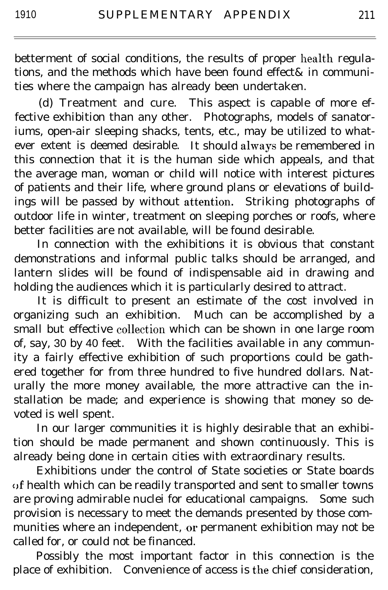betterment of social conditions, the results of proper health regulations, and the methods which have been found effect& in communities where the campaign has already been undertaken.

(d) Treatment and cure. This aspect is capable of more effective exhibition than any other. Photographs, models of sanatoriums, open-air sleeping shacks, tents, etc., may be utilized to whatever extent is deemed desirable. It should always be remembered in this connection that it is the human side which appeals, and that the average man, woman or child will notice with interest pictures of patients and their life, where ground plans or elevations of buildings will be passed by without attention. Striking photographs of outdoor life in winter, treatment on sleeping porches or roofs, where better facilities are not available, will be found desirable.

In connection with the exhibitions it is obvious that constant demonstrations and informal public talks should be arranged, and lantern slides will be found of indispensable aid in drawing and holding the audiences which it is particularly desired to attract.

It is difficult to present an estimate of the cost involved in organizing such an exhibition. Much can be accomplished by a small but effective collection which can be shown in one large room of, say, 30 by 40 feet. With the facilities available in any community a fairly effective exhibition of such proportions could be gathered together for from three hundred to five hundred dollars. Naturally the more money available, the more attractive can the installation be made; and experience is showing that money so devoted is well spent.

In our larger communities it is highly desirable that an exhibition should be made permanent and shown continuously. This is already being done in certain cities with extraordinary results.

Exhibitions under the control of State societies or State boards of health which can be readily transported and sent to smaller towns are proving admirable nuclei for educational campaigns. Some such provision is necessary to meet the demands presented by those communities where an independent, or permanent exhibition may not be called for, or could not be financed.

Possibly the most important factor in this connection is the place of exhibition. Convenience of access is the chief consideration,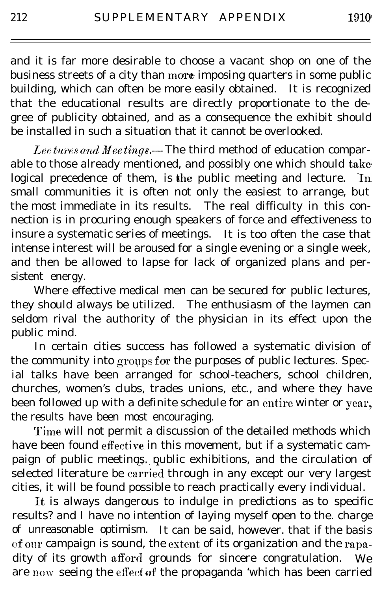and it is far more desirable to choose a vacant shop on one of the business streets of a city than more imposing quarters in some public building, which can often be more easily obtained. It is recognized that the educational results are directly proportionate to the degree of publicity obtained, and as a consequence the exhibit should be installed in such a situation that it cannot be overlooked.

*Lectures and Mee tings*.—The third method of education comparable to those already mentioned, and possibly one which should take logical precedence of them, is the public meeting and lecture. In small communities it is often not only the easiest to arrange, but the most immediate in its results. The real difficulty in this connection is in procuring enough speakers of force and effectiveness to insure a systematic series of meetings. It is too often the case that intense interest will be aroused for a single evening or a single week, and then be allowed to lapse for lack of organized plans and persistent energy.

Where effective medical men can be secured for public lectures, they should always be utilized. The enthusiasm of the laymen can seldom rival the authority of the physician in its effect upon the public mind.

In certain cities success has followed a systematic division of the community into groups for the purposes of public lectures. Special talks have been arranged for school-teachers, school children, churches, women's clubs, trades unions, etc., and where they have been followed up with a definite schedule for an entire winter or year, the results have been most encouraging.

Time will not permit a discussion of the detailed methods which have been found effective in this movement, but if a systematic campaign of public meetings, public exhibitions, and the circulation of selected literature be carried through in any except our very largest cities, it will be found possible to reach practically every individual.

It is always dangerous to indulge in predictions as to specific results? and I have no intention of laying myself open to the. charge of unreasonable optimism. It can be said, however. that if the basis of our campaign is sound, the extent of its organization and the rapadity of its growth afford grounds for sincere congratulation. We' are now seeing the effect of the propaganda 'which has been carried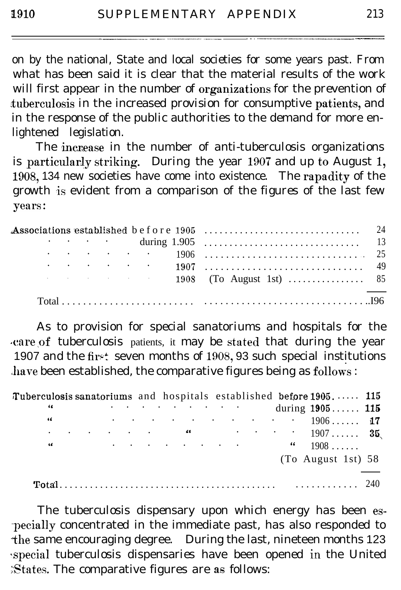on by the national, State and local societies for some years past. From what has been said it is clear that the material results of the work will first appear in the number of organizations for the prevention of tuberculosis in the increased provision for consumptive patients, and in the response of the public authorities to the demand for more enlightened legislation.

The increase in the number of anti-tuberculosis organizations is particularly striking. During the year  $1907$  and up to August 1,  $1908$ , 134 new societies have come into existence. The rapadity of the growth is evident from a comparison of the figures of the last few years:

As to provision for special sanatoriums and hospitals for the the eare of tuberculosis patients, it may be stated that during the year 1907 and the first seven months of 1908, 93 such special institutions  $h$ ave been established, the comparative figures being as follows:

| Tuberculosis sanatoriums and hospitals established before 1905 115 |  |  |  |  |                                                                                                                                                                                                                                                                                               |  |
|--------------------------------------------------------------------|--|--|--|--|-----------------------------------------------------------------------------------------------------------------------------------------------------------------------------------------------------------------------------------------------------------------------------------------------|--|
| 44                                                                 |  |  |  |  | $\cdots$ $\cdots$ $\cdots$ $\cdots$ $\cdots$ $\cdots$ during 1905 115                                                                                                                                                                                                                         |  |
| $\epsilon$ $\epsilon$                                              |  |  |  |  | $1906$ 17                                                                                                                                                                                                                                                                                     |  |
|                                                                    |  |  |  |  |                                                                                                                                                                                                                                                                                               |  |
| $\bullet$                                                          |  |  |  |  | $\cdots$ and $\cdots$ and $\cdots$ and $\cdots$ and $\cdots$ and $\cdots$ and $\cdots$ and $\cdots$ and $\cdots$ and $\cdots$ and $\cdots$ and $\cdots$ and $\cdots$ and $\cdots$ and $\cdots$ and $\cdots$ and $\cdots$ and $\cdots$ and $\cdots$ and $\cdots$ and $\cdots$ and $\cdots$ and |  |
|                                                                    |  |  |  |  | $(To$ August 1st) 58                                                                                                                                                                                                                                                                          |  |
|                                                                    |  |  |  |  |                                                                                                                                                                                                                                                                                               |  |
| Total.                                                             |  |  |  |  |                                                                                                                                                                                                                                                                                               |  |

The tuberculosis dispensary upon which energy has been es- -pecially concentrated in the immediate past, has also responded to the same encouraging degree. During the last, nineteen months 123 special tuberculosis dispensaries have been opened in the United  $\mathcal{S}$ tates. The comparative figures are as follows: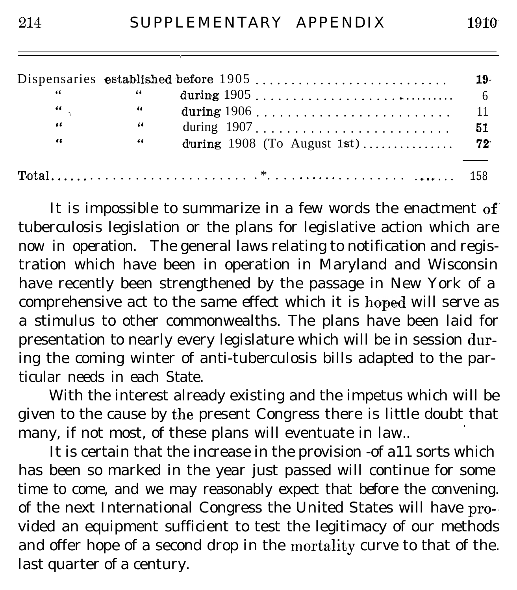,

| $\bullet\bullet$ | $\bullet$ . The set of $\bullet$                          | 19- |
|------------------|-----------------------------------------------------------|-----|
|                  | $\mathcal{H}_{\text{max}}$ and $\mathcal{H}_{\text{max}}$ |     |
| $\epsilon$       | "                                                         | -51 |
| "                | 46                                                        |     |
|                  |                                                           |     |

It is impossible to summarize in a few words the enactment of tuberculosis legislation or the plans for legislative action which are now in operation. The general laws relating to notification and registration which have been in operation in Maryland and Wisconsin have recently been strengthened by the passage in New York of a comprehensive act to the same effect which it is hoped will serve as a stimulus to other commonwealths. The plans have been laid for presentation to nearly every legislature which will be in session dur ing the coming winter of anti-tuberculosis bills adapted to the particular needs in each State.

With the interest already existing and the impetus which will be given to the cause by the present Congress there is little doubt that many, if not most, of these plans will eventuate in law..

It is certain that the increase in the provision -of a11 sorts which has been so marked in the year just passed will continue for some time to come, and we may reasonably expect that before the convening. of the next International Congress the United States will have pro-. vided an equipment sufficient to test the legitimacy of our methods and offer hope of a second drop in the mortality curve to that of the. last quarter of a century.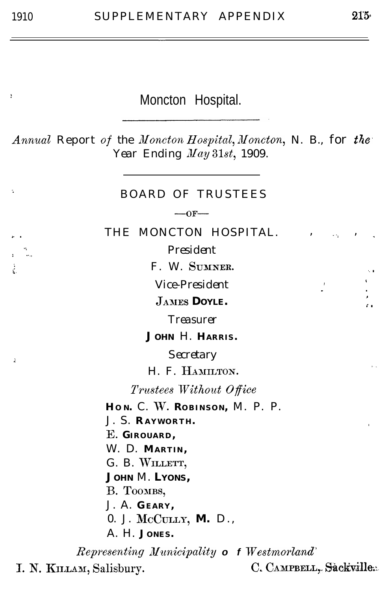*; ..,, ; .-***P.**

-

,  $\frac{1}{2}$  ,  $\frac{1}{2}$  ,  $\frac{1}{2}$  ,  $\frac{1}{2}$ 

*<sup>6</sup> , - .*

**' . .**

**,a i .**

**.**

# **Example 21 Moncton Hospital.**

*Annual Report of the ilfoncton Hospitd, Uoncton, N. B., for Hia. Year Ending Uay 31st, 1909.*

**BOARD OF TRUSTEES** 

 $-$ OF $-$ 

THE MONCTON HOSPITAL.

*President*

F. W. SUMNER.

*Vice-President*

**JAIUES DOYLE.**

*Treasurer*

**JOHN** H. **HARRIS.**

**L** *L Secretary* 

H. F. HAMILTON.

*Trustees* Without Office

**H <sup>O</sup> <sup>N</sup>.** *C.* **W. ROBINSO <sup>N</sup>,** M. P. P.

J. S. **RAYWORT <sup>H</sup>.**

**E. GIROUARD ,**

W. D. **MARTIN ,**

G. B. **WILLETT,**

**JOHN** M. **LYONS,**

**B. TOOIUBS,**

- J. A. **GEARY ,**
- 0. J. McCuLLY, M. D.,
- A. H. **JONES.**

*Representing Municipality of Westmorland*" **I. N. KILLAM,** Salisbury. C. CAMPBELL, Sackville.